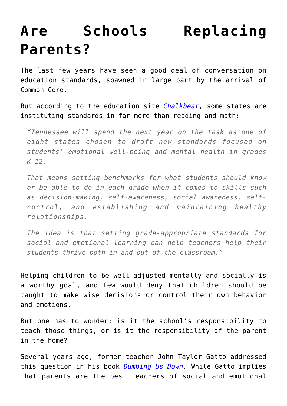## **[Are Schools Replacing](https://intellectualtakeout.org/2016/08/are-schools-replacing-parents/) [Parents?](https://intellectualtakeout.org/2016/08/are-schools-replacing-parents/)**

The last few years have seen a good deal of conversation on education standards, spawned in large part by the arrival of Common Core.

But according to the education site *[Chalkbeat](http://www.chalkbeat.org/posts/tn/2016/08/03/tennessee-to-become-national-pioneer-in-creating-social-and-emotional-standards/#.V6NROjW1OgB)*, some states are instituting standards in far more than reading and math:

*"Tennessee will spend the next year on the task as one of eight states chosen to draft new standards focused on students' emotional well-being and mental health in grades K-12.*

*That means setting benchmarks for what students should know or be able to do in each grade when it comes to skills such as decision-making, self-awareness, social awareness, selfcontrol, and establishing and maintaining healthy relationships.*

*The idea is that setting grade-appropriate standards for social and emotional learning can help teachers help their students thrive both in and out of the classroom."*

Helping children to be well-adjusted mentally and socially is a worthy goal, and few would deny that children should be taught to make wise decisions or control their own behavior and emotions.

But one has to wonder: is it the school's responsibility to teach those things, or is it the responsibility of the parent in the home?

Several years ago, former teacher John Taylor Gatto addressed this question in his book *[Dumbing Us Down](https://www.amazon.com/gp/product/0865714487/ref=as_li_qf_sp_asin_il_tl?ie=UTF8&tag=intelltakeo0d-20&camp=1789&creative=9325&linkCode=as2&creativeASIN=0865714487&linkId=9dd93e6d44fdf2cec7b7e7382951dffa).* While Gatto implies that parents are the best teachers of social and emotional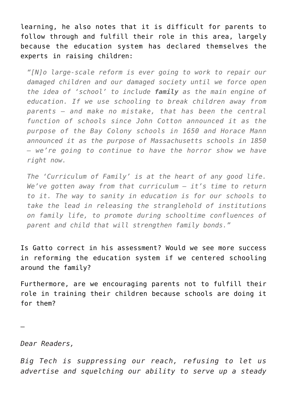learning, he also notes that it is difficult for parents to follow through and fulfill their role in this area, largely because the education system has declared themselves the experts in raising children:

*"[N]o large-scale reform is ever going to work to repair our damaged children and our damaged society until we force open the idea of 'school' to include family as the main engine of education. If we use schooling to break children away from parents – and make no mistake, that has been the central function of schools since John Cotton announced it as the purpose of the Bay Colony schools in 1650 and Horace Mann announced it as the purpose of Massachusetts schools in 1850 – we're going to continue to have the horror show we have right now.*

*The 'Curriculum of Family' is at the heart of any good life. We've gotten away from that curriculum – it's time to return to it. The way to sanity in education is for our schools to take the lead in releasing the stranglehold of institutions on family life, to promote during schooltime confluences of parent and child that will strengthen family bonds."*

Is Gatto correct in his assessment? Would we see more success in reforming the education system if we centered schooling around the family?

Furthermore, are we encouraging parents not to fulfill their role in training their children because schools are doing it for them?

—

*Dear Readers,*

*Big Tech is suppressing our reach, refusing to let us advertise and squelching our ability to serve up a steady*